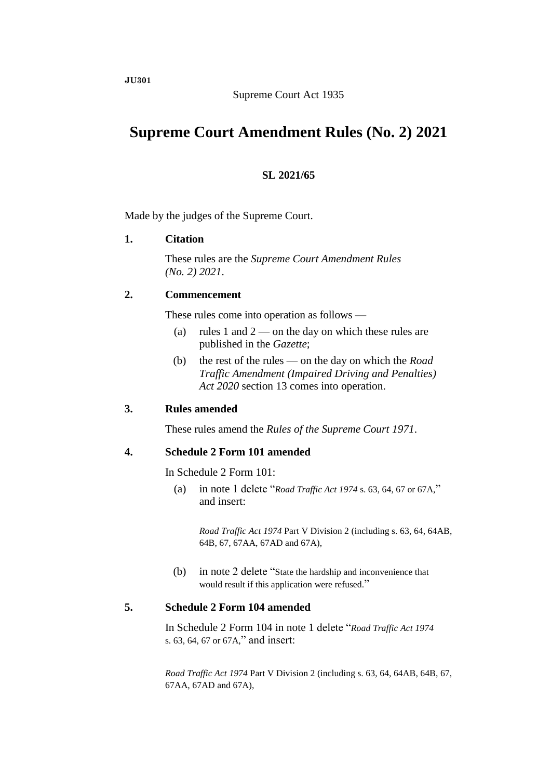# Supreme Court Act 1935

# **Supreme Court Amendment Rules (No. 2) 2021**

# **SL 2021/65**

Made by the judges of the Supreme Court.

# **1. Citation**

These rules are the *Supreme Court Amendment Rules (No. 2) 2021*.

#### **2. Commencement**

These rules come into operation as follows —

- (a) rules 1 and  $2$  on the day on which these rules are published in the *Gazette*;
- (b) the rest of the rules on the day on which the *Road Traffic Amendment (Impaired Driving and Penalties) Act 2020* section 13 comes into operation.

# **3. Rules amended**

These rules amend the *Rules of the Supreme Court 1971*.

# **4. Schedule 2 Form 101 amended**

In Schedule 2 Form 101:

(a) in note 1 delete "*Road Traffic Act 1974* s. 63, 64, 67 or 67A," and insert:

*Road Traffic Act 1974* Part V Division 2 (including s. 63, 64, 64AB, 64B, 67, 67AA, 67AD and 67A),

(b) in note 2 delete "State the hardship and inconvenience that would result if this application were refused."

# **5. Schedule 2 Form 104 amended**

In Schedule 2 Form 104 in note 1 delete "*Road Traffic Act 1974* s. 63, 64, 67 or 67A," and insert:

*Road Traffic Act 1974* Part V Division 2 (including s. 63, 64, 64AB, 64B, 67, 67AA, 67AD and 67A),